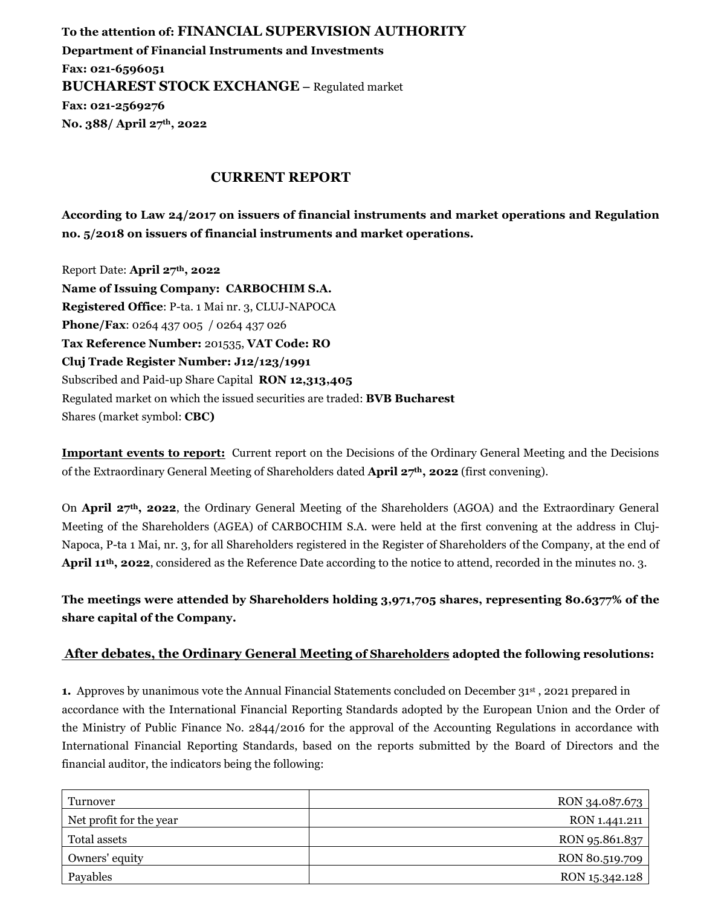**To the attention of: FINANCIAL SUPERVISION AUTHORITY Department of Financial Instruments and Investments Fax: 021-6596051 BUCHAREST STOCK EXCHANGE –** Regulated market **Fax: 021-2569276 No. 388/ April 27th, 2022** 

## **CURRENT REPORT**

**According to Law 24/2017 on issuers of financial instruments and market operations and Regulation no. 5/2018 on issuers of financial instruments and market operations.** 

Report Date: **April 27th, 2022 Name of Issuing Company: CARBOCHIM S.A. Registered Office**: P-ta. 1 Mai nr. 3, CLUJ-NAPOCA **Phone/Fax**: 0264 437 005 / 0264 437 026 **Tax Reference Number:** 201535, **VAT Code: RO Cluj Trade Register Number: J12/123/1991**  Subscribed and Paid-up Share Capital **RON 12,313,405**  Regulated market on which the issued securities are traded: **BVB Bucharest**  Shares (market symbol: **CBC)**

**Important events to report:** Current report on the Decisions of the Ordinary General Meeting and the Decisions of the Extraordinary General Meeting of Shareholders dated **April 27th, 2022** (first convening).

On **April 27th, 2022**, the Ordinary General Meeting of the Shareholders (AGOA) and the Extraordinary General Meeting of the Shareholders (AGEA) of CARBOCHIM S.A. were held at the first convening at the address in Cluj-Napoca, P-ta 1 Mai, nr. 3, for all Shareholders registered in the Register of Shareholders of the Company, at the end of **April 11th, 2022**, considered as the Reference Date according to the notice to attend, recorded in the minutes no. 3.

**The meetings were attended by Shareholders holding 3,971,705 shares, representing 80.6377% of the share capital of the Company.** 

## After debates, the Ordinary General Meeting of Shareholders adopted the following resolutions:

**1.** Approves by unanimous vote the Annual Financial Statements concluded on December 31st , 2021 prepared in accordance with the International Financial Reporting Standards adopted by the European Union and the Order of the Ministry of Public Finance No. 2844/2016 for the approval of the Accounting Regulations in accordance with International Financial Reporting Standards, based on the reports submitted by the Board of Directors and the financial auditor, the indicators being the following:

| Turnover                | RON 34.087.673 |
|-------------------------|----------------|
| Net profit for the year | RON 1.441.211  |
| Total assets            | RON 95.861.837 |
| Owners' equity          | RON 80.519.709 |
| Payables                | RON 15.342.128 |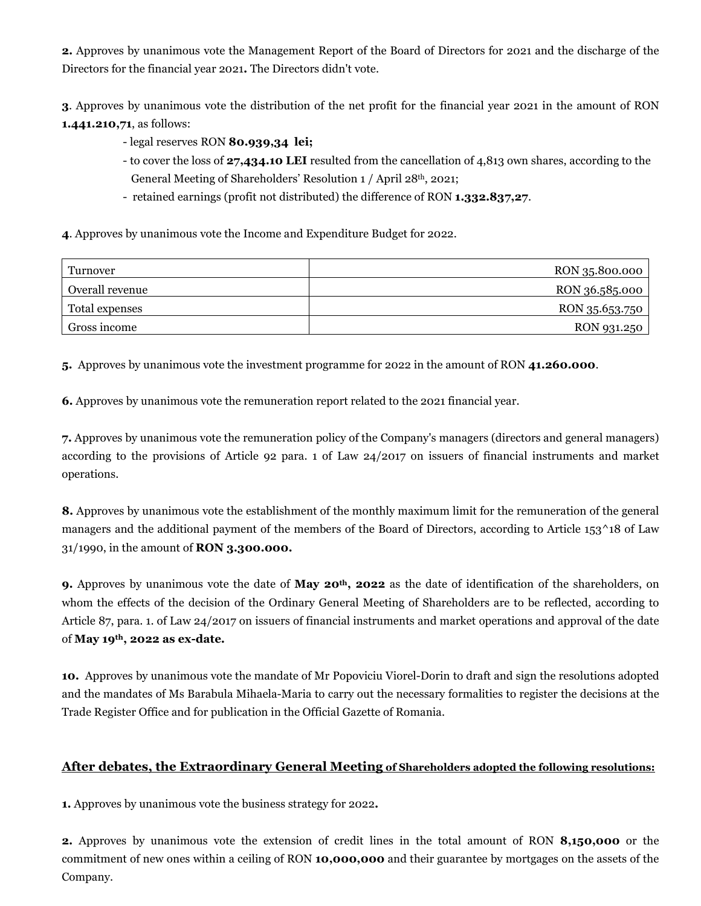**2.** Approves by unanimous vote the Management Report of the Board of Directors for 2021 and the discharge of the Directors for the financial year 2021**.** The Directors didn't vote.

**3**. Approves by unanimous vote the distribution of the net profit for the financial year 2021 in the amount of RON **1.441.210,71**, as follows:

- legal reserves RON **80.939,34 lei;**
- to cover the loss of **27,434.10 LEI** resulted from the cancellation of 4,813 own shares, according to the General Meeting of Shareholders' Resolution 1 / April 28th, 2021;
- retained earnings (profit not distributed) the difference of RON **1.332.837,27**.

**4**. Approves by unanimous vote the Income and Expenditure Budget for 2022.

| Turnover        | RON 35.800.000 |
|-----------------|----------------|
| Overall revenue | RON 36.585.000 |
| Total expenses  | RON 35.653.750 |
| Gross income    | RON 931.250    |

**5.** Approves by unanimous vote the investment programme for 2022 in the amount of RON **41.260.000**.

**6.** Approves by unanimous vote the remuneration report related to the 2021 financial year.

**7.** Approves by unanimous vote the remuneration policy of the Company's managers (directors and general managers) according to the provisions of Article 92 para. 1 of Law 24/2017 on issuers of financial instruments and market operations.

**8.** Approves by unanimous vote the establishment of the monthly maximum limit for the remuneration of the general managers and the additional payment of the members of the Board of Directors, according to Article 153<sup>^18</sup> of Law 31/1990, in the amount of **RON 3.300.000.** 

**9.** Approves by unanimous vote the date of **May 20th, 2022** as the date of identification of the shareholders, on whom the effects of the decision of the Ordinary General Meeting of Shareholders are to be reflected, according to Article 87, para. 1. of Law 24/2017 on issuers of financial instruments and market operations and approval of the date of **May 19th, 2022 as ex-date.**

**10.** Approves by unanimous vote the mandate of Mr Popoviciu Viorel-Dorin to draft and sign the resolutions adopted and the mandates of Ms Barabula Mihaela-Maria to carry out the necessary formalities to register the decisions at the Trade Register Office and for publication in the Official Gazette of Romania.

## **After debates, the Extraordinary General Meeting of Shareholders adopted the following resolutions:**

**1.** Approves by unanimous vote the business strategy for 2022**.** 

**2.** Approves by unanimous vote the extension of credit lines in the total amount of RON **8,150,000** or the commitment of new ones within a ceiling of RON **10,000,000** and their guarantee by mortgages on the assets of the Company.